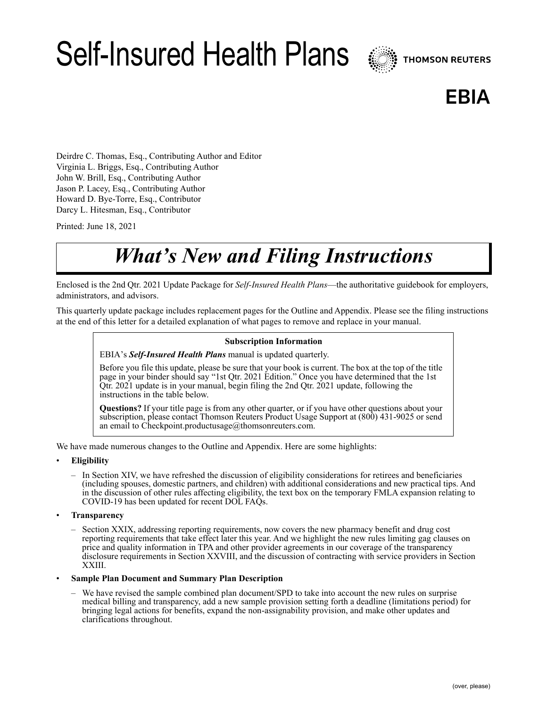# Self-Insured Health Plans



# **EBIA**

Deirdre C. Thomas, Esq., Contributing Author and Editor Virginia L. Briggs, Esq., Contributing Author John W. Brill, Esq., Contributing Author Jason P. Lacey, Esq., Contributing Author Howard D. Bye-Torre, Esq., Contributor Darcy L. Hitesman, Esq., Contributor

Printed: June 18, 2021

# *What's New and Filing Instructions*

Enclosed is the 2nd Qtr. 2021 Update Package for *Self-Insured Health Plans*—the authoritative guidebook for employers, administrators, and advisors.

This quarterly update package includes replacement pages for the Outline and Appendix. Please see the filing instructions at the end of this letter for a detailed explanation of what pages to remove and replace in your manual.

#### **Subscription Information**

EBIA's *Self-Insured Health Plans* manual is updated quarterly.

Before you file this update, please be sure that your book is current. The box at the top of the title page in your binder should say "1st Qtr. 2021 Edition." Once you have determined that the 1st Qtr. 2021 update is in your manual, begin filing the 2nd Qtr. 2021 update, following the instructions in the table below.

**Questions?** If your title page is from any other quarter, or if you have other questions about your subscription, please contact Thomson Reuters Product Usage Support at (800) 431-9025 or send an email to Checkpoint.productusage@thomsonreuters.com.

We have made numerous changes to the Outline and Appendix. Here are some highlights:

- **Eligibility**
	- In Section XIV, we have refreshed the discussion of eligibility considerations for retirees and beneficiaries (including spouses, domestic partners, and children) with additional considerations and new practical tips. And in the discussion of other rules affecting eligibility, the text box on the temporary FMLA expansion relating to COVID-19 has been updated for recent DOL FAQs.
- **Transparency**
	- Section XXIX, addressing reporting requirements, now covers the new pharmacy benefit and drug cost reporting requirements that take effect later this year. And we highlight the new rules limiting gag clauses on price and quality information in TPA and other provider agreements in our coverage of the transparency disclosure requirements in Section XXVIII, and the discussion of contracting with service providers in Section XXIII.

#### • **Sample Plan Document and Summary Plan Description**

– We have revised the sample combined plan document/SPD to take into account the new rules on surprise medical billing and transparency, add a new sample provision setting forth a deadline (limitations period) for bringing legal actions for benefits, expand the non-assignability provision, and make other updates and clarifications throughout.